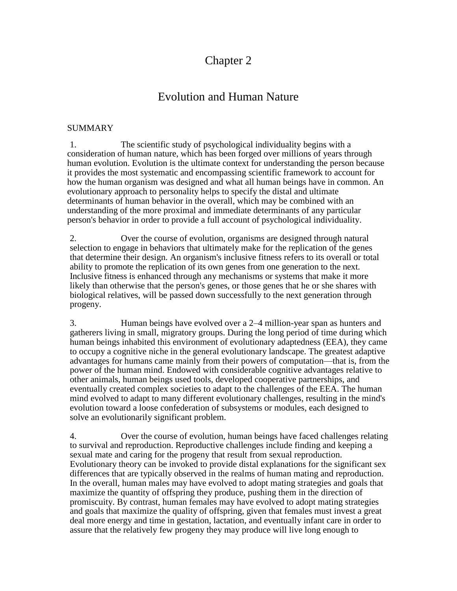# Chapter 2

# Evolution and Human Nature

### SUMMARY

1. The scientific study of psychological individuality begins with a consideration of human nature, which has been forged over millions of years through human evolution. Evolution is the ultimate context for understanding the person because it provides the most systematic and encompassing scientific framework to account for how the human organism was designed and what all human beings have in common. An evolutionary approach to personality helps to specify the distal and ultimate determinants of human behavior in the overall, which may be combined with an understanding of the more proximal and immediate determinants of any particular person's behavior in order to provide a full account of psychological individuality.

2. Over the course of evolution, organisms are designed through natural selection to engage in behaviors that ultimately make for the replication of the genes that determine their design. An organism's inclusive fitness refers to its overall or total ability to promote the replication of its own genes from one generation to the next. Inclusive fitness is enhanced through any mechanisms or systems that make it more likely than otherwise that the person's genes, or those genes that he or she shares with biological relatives, will be passed down successfully to the next generation through progeny.

3. Human beings have evolved over a 2–4 million-year span as hunters and gatherers living in small, migratory groups. During the long period of time during which human beings inhabited this environment of evolutionary adaptedness (EEA), they came to occupy a cognitive niche in the general evolutionary landscape. The greatest adaptive advantages for humans came mainly from their powers of computation—that is, from the power of the human mind. Endowed with considerable cognitive advantages relative to other animals, human beings used tools, developed cooperative partnerships, and eventually created complex societies to adapt to the challenges of the EEA. The human mind evolved to adapt to many different evolutionary challenges, resulting in the mind's evolution toward a loose confederation of subsystems or modules, each designed to solve an evolutionarily significant problem.

4. Over the course of evolution, human beings have faced challenges relating to survival and reproduction. Reproductive challenges include finding and keeping a sexual mate and caring for the progeny that result from sexual reproduction. Evolutionary theory can be invoked to provide distal explanations for the significant sex differences that are typically observed in the realms of human mating and reproduction. In the overall, human males may have evolved to adopt mating strategies and goals that maximize the quantity of offspring they produce, pushing them in the direction of promiscuity. By contrast, human females may have evolved to adopt mating strategies and goals that maximize the quality of offspring, given that females must invest a great deal more energy and time in gestation, lactation, and eventually infant care in order to assure that the relatively few progeny they may produce will live long enough to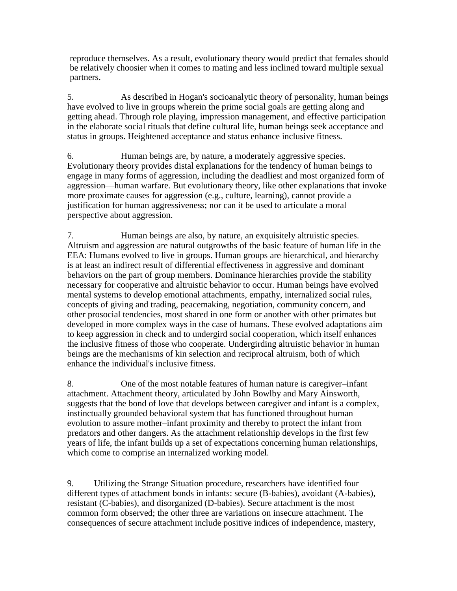reproduce themselves. As a result, evolutionary theory would predict that females should be relatively choosier when it comes to mating and less inclined toward multiple sexual partners.

5. As described in Hogan's socioanalytic theory of personality, human beings have evolved to live in groups wherein the prime social goals are getting along and getting ahead. Through role playing, impression management, and effective participation in the elaborate social rituals that define cultural life, human beings seek acceptance and status in groups. Heightened acceptance and status enhance inclusive fitness.

6. Human beings are, by nature, a moderately aggressive species. Evolutionary theory provides distal explanations for the tendency of human beings to engage in many forms of aggression, including the deadliest and most organized form of aggression—human warfare. But evolutionary theory, like other explanations that invoke more proximate causes for aggression (e.g., culture, learning), cannot provide a justification for human aggressiveness; nor can it be used to articulate a moral perspective about aggression.

7. Human beings are also, by nature, an exquisitely altruistic species. Altruism and aggression are natural outgrowths of the basic feature of human life in the EEA: Humans evolved to live in groups. Human groups are hierarchical, and hierarchy is at least an indirect result of differential effectiveness in aggressive and dominant behaviors on the part of group members. Dominance hierarchies provide the stability necessary for cooperative and altruistic behavior to occur. Human beings have evolved mental systems to develop emotional attachments, empathy, internalized social rules, concepts of giving and trading, peacemaking, negotiation, community concern, and other prosocial tendencies, most shared in one form or another with other primates but developed in more complex ways in the case of humans. These evolved adaptations aim to keep aggression in check and to undergird social cooperation, which itself enhances the inclusive fitness of those who cooperate. Undergirding altruistic behavior in human beings are the mechanisms of kin selection and reciprocal altruism, both of which enhance the individual's inclusive fitness.

8. One of the most notable features of human nature is caregiver–infant attachment. Attachment theory, articulated by John Bowlby and Mary Ainsworth, suggests that the bond of love that develops between caregiver and infant is a complex, instinctually grounded behavioral system that has functioned throughout human evolution to assure mother–infant proximity and thereby to protect the infant from predators and other dangers. As the attachment relationship develops in the first few years of life, the infant builds up a set of expectations concerning human relationships, which come to comprise an internalized working model.

9. Utilizing the Strange Situation procedure, researchers have identified four different types of attachment bonds in infants: secure (B-babies), avoidant (A-babies), resistant (C-babies), and disorganized (D-babies). Secure attachment is the most common form observed; the other three are variations on insecure attachment. The consequences of secure attachment include positive indices of independence, mastery,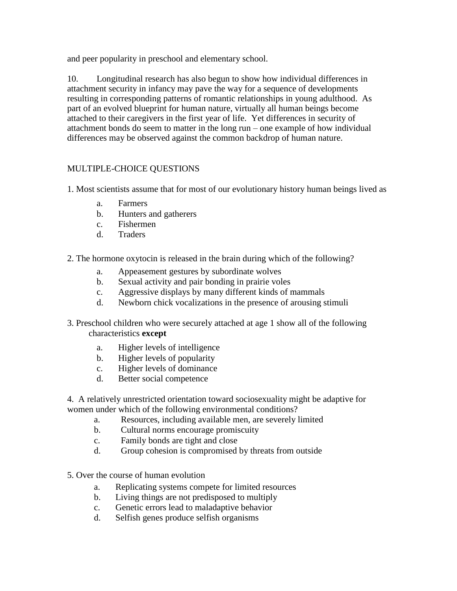and peer popularity in preschool and elementary school.

10. Longitudinal research has also begun to show how individual differences in attachment security in infancy may pave the way for a sequence of developments resulting in corresponding patterns of romantic relationships in young adulthood. As part of an evolved blueprint for human nature, virtually all human beings become attached to their caregivers in the first year of life. Yet differences in security of attachment bonds do seem to matter in the long run – one example of how individual differences may be observed against the common backdrop of human nature.

## MULTIPLE-CHOICE QUESTIONS

- 1. Most scientists assume that for most of our evolutionary history human beings lived as
	- a. Farmers
	- b. Hunters and gatherers
	- c. Fishermen
	- d. Traders
- 2. The hormone oxytocin is released in the brain during which of the following?
	- a. Appeasement gestures by subordinate wolves
	- b. Sexual activity and pair bonding in prairie voles
	- c. Aggressive displays by many different kinds of mammals
	- d. Newborn chick vocalizations in the presence of arousing stimuli
- 3. Preschool children who were securely attached at age 1 show all of the following characteristics **except**
	- a. Higher levels of intelligence
	- b. Higher levels of popularity
	- c. Higher levels of dominance
	- d. Better social competence

4. A relatively unrestricted orientation toward sociosexuality might be adaptive for women under which of the following environmental conditions?

- a. Resources, including available men, are severely limited
- b. Cultural norms encourage promiscuity
- c. Family bonds are tight and close
- d. Group cohesion is compromised by threats from outside
- 5. Over the course of human evolution
	- a. Replicating systems compete for limited resources
	- b. Living things are not predisposed to multiply
	- c. Genetic errors lead to maladaptive behavior
	- d. Selfish genes produce selfish organisms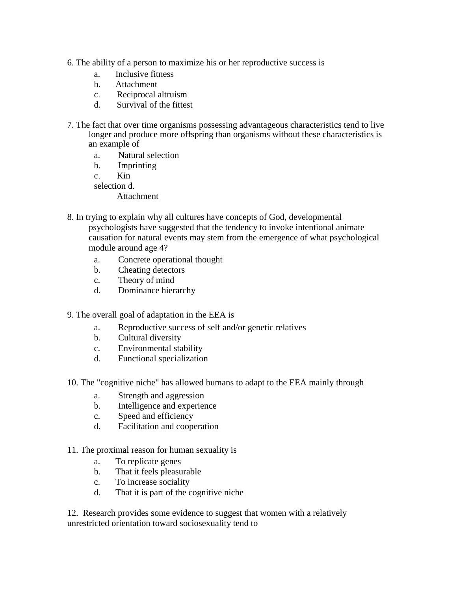- 6. The ability of a person to maximize his or her reproductive success is
	- a. Inclusive fitness
	- b. Attachment
	- C. Reciprocal altruism
	- d. Survival of the fittest
- 7. The fact that over time organisms possessing advantageous characteristics tend to live longer and produce more offspring than organisms without these characteristics is an example of
	- a. Natural selection
	- b. Imprinting
	- C. Kin
	- selection d.
		- **Attachment**
- 8. In trying to explain why all cultures have concepts of God, developmental psychologists have suggested that the tendency to invoke intentional animate causation for natural events may stem from the emergence of what psychological module around age 4?
	- a. Concrete operational thought
	- b. Cheating detectors
	- c. Theory of mind
	- d. Dominance hierarchy
- 9. The overall goal of adaptation in the EEA is
	- a. Reproductive success of self and/or genetic relatives
	- b. Cultural diversity
	- c. Environmental stability
	- d. Functional specialization
- 10. The "cognitive niche" has allowed humans to adapt to the EEA mainly through
	- a. Strength and aggression
	- b. Intelligence and experience
	- c. Speed and efficiency
	- d. Facilitation and cooperation
- 11. The proximal reason for human sexuality is
	- a. To replicate genes
	- b. That it feels pleasurable
	- c. To increase sociality
	- d. That it is part of the cognitive niche

12. Research provides some evidence to suggest that women with a relatively unrestricted orientation toward sociosexuality tend to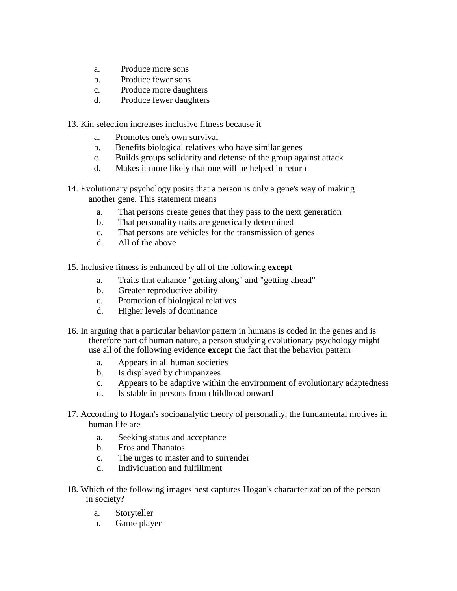- a. Produce more sons
- b. Produce fewer sons
- c. Produce more daughters
- d. Produce fewer daughters
- 13. Kin selection increases inclusive fitness because it
	- a. Promotes one's own survival
	- b. Benefits biological relatives who have similar genes
	- c. Builds groups solidarity and defense of the group against attack
	- d. Makes it more likely that one will be helped in return
- 14. Evolutionary psychology posits that a person is only a gene's way of making another gene. This statement means
	- a. That persons create genes that they pass to the next generation
	- b. That personality traits are genetically determined
	- c. That persons are vehicles for the transmission of genes
	- d. All of the above
- 15. Inclusive fitness is enhanced by all of the following **except**
	- a. Traits that enhance "getting along" and "getting ahead"
	- b. Greater reproductive ability
	- c. Promotion of biological relatives
	- d. Higher levels of dominance
- 16. In arguing that a particular behavior pattern in humans is coded in the genes and is therefore part of human nature, a person studying evolutionary psychology might use all of the following evidence **except** the fact that the behavior pattern
	- a. Appears in all human societies
	- b. Is displayed by chimpanzees
	- c. Appears to be adaptive within the environment of evolutionary adaptedness
	- d. Is stable in persons from childhood onward
- 17. According to Hogan's socioanalytic theory of personality, the fundamental motives in human life are
	- a. Seeking status and acceptance
	- b. Eros and Thanatos
	- c. The urges to master and to surrender
	- d. Individuation and fulfillment
- 18. Which of the following images best captures Hogan's characterization of the person in society?
	- a. Storyteller
	- b. Game player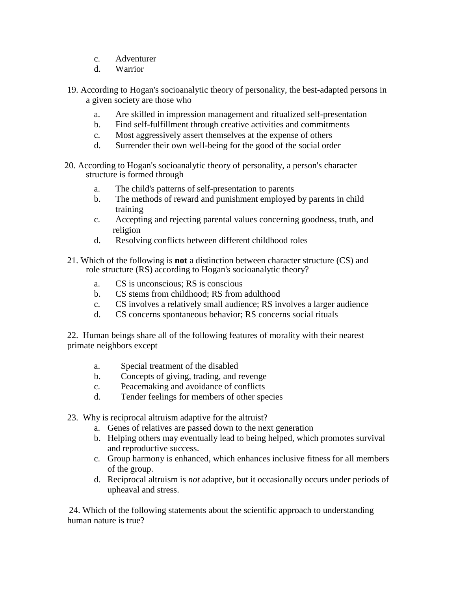- c. Adventurer
- d. Warrior
- 19. According to Hogan's socioanalytic theory of personality, the best-adapted persons in a given society are those who
	- a. Are skilled in impression management and ritualized self-presentation
	- b. Find self-fulfillment through creative activities and commitments
	- c. Most aggressively assert themselves at the expense of others
	- d. Surrender their own well-being for the good of the social order
- 20. According to Hogan's socioanalytic theory of personality, a person's character structure is formed through
	- a. The child's patterns of self-presentation to parents
	- b. The methods of reward and punishment employed by parents in child training
	- c. Accepting and rejecting parental values concerning goodness, truth, and religion
	- d. Resolving conflicts between different childhood roles
- 21. Which of the following is **not** a distinction between character structure (CS) and role structure (RS) according to Hogan's socioanalytic theory?
	- a. CS is unconscious; RS is conscious
	- b. CS stems from childhood; RS from adulthood
	- c. CS involves a relatively small audience; RS involves a larger audience
	- d. CS concerns spontaneous behavior; RS concerns social rituals

22. Human beings share all of the following features of morality with their nearest primate neighbors except

- a. Special treatment of the disabled
- b. Concepts of giving, trading, and revenge
- c. Peacemaking and avoidance of conflicts
- d. Tender feelings for members of other species
- 23. Why is reciprocal altruism adaptive for the altruist?
	- a. Genes of relatives are passed down to the next generation
	- b. Helping others may eventually lead to being helped, which promotes survival and reproductive success.
	- c. Group harmony is enhanced, which enhances inclusive fitness for all members of the group.
	- d. Reciprocal altruism is *not* adaptive, but it occasionally occurs under periods of upheaval and stress.

24. Which of the following statements about the scientific approach to understanding human nature is true?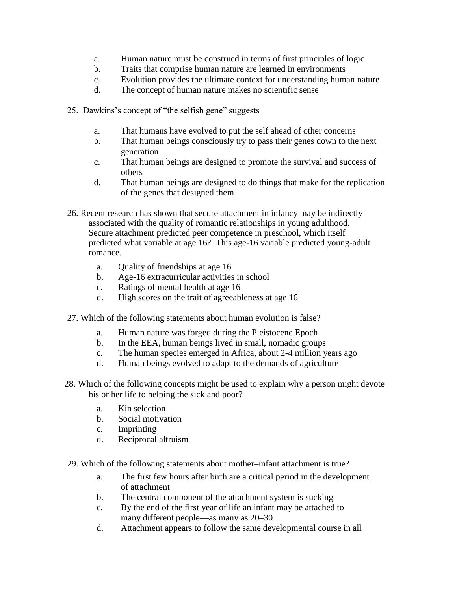- a. Human nature must be construed in terms of first principles of logic
- b. Traits that comprise human nature are learned in environments
- c. Evolution provides the ultimate context for understanding human nature
- d. The concept of human nature makes no scientific sense
- 25. Dawkins's concept of "the selfish gene" suggests
	- a. That humans have evolved to put the self ahead of other concerns
	- b. That human beings consciously try to pass their genes down to the next generation
	- c. That human beings are designed to promote the survival and success of others
	- d. That human beings are designed to do things that make for the replication of the genes that designed them
- 26. Recent research has shown that secure attachment in infancy may be indirectly associated with the quality of romantic relationships in young adulthood. Secure attachment predicted peer competence in preschool, which itself predicted what variable at age 16? This age-16 variable predicted young-adult romance.
	- a. Quality of friendships at age 16
	- b. Age-16 extracurricular activities in school
	- c. Ratings of mental health at age 16
	- d. High scores on the trait of agreeableness at age 16
- 27. Which of the following statements about human evolution is false?
	- a. Human nature was forged during the Pleistocene Epoch
	- b. In the EEA, human beings lived in small, nomadic groups
	- c. The human species emerged in Africa, about 2-4 million years ago
	- d. Human beings evolved to adapt to the demands of agriculture
- 28. Which of the following concepts might be used to explain why a person might devote his or her life to helping the sick and poor?
	- a. Kin selection
	- b. Social motivation
	- c. Imprinting
	- d. Reciprocal altruism
- 29. Which of the following statements about mother–infant attachment is true?
	- a. The first few hours after birth are a critical period in the development of attachment
	- b. The central component of the attachment system is sucking
	- c. By the end of the first year of life an infant may be attached to many different people—as many as 20–30
	- d. Attachment appears to follow the same developmental course in all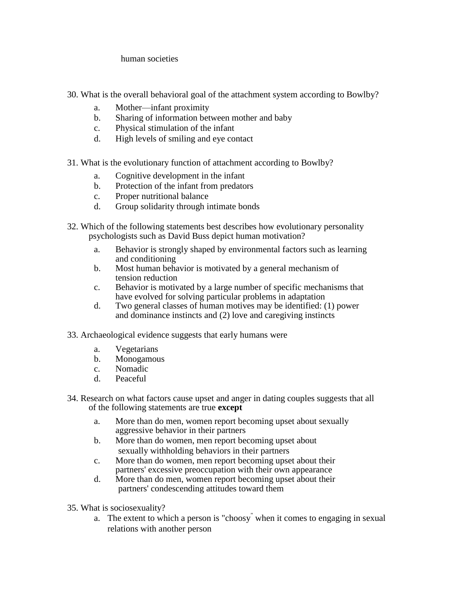human societies

- 30. What is the overall behavioral goal of the attachment system according to Bowlby?
	- a. Mother—infant proximity
	- b. Sharing of information between mother and baby
	- c. Physical stimulation of the infant
	- d. High levels of smiling and eye contact
- 31. What is the evolutionary function of attachment according to Bowlby?
	- a. Cognitive development in the infant
	- b. Protection of the infant from predators
	- c. Proper nutritional balance
	- d. Group solidarity through intimate bonds
- 32. Which of the following statements best describes how evolutionary personality psychologists such as David Buss depict human motivation?
	- a. Behavior is strongly shaped by environmental factors such as learning and conditioning
	- b. Most human behavior is motivated by a general mechanism of tension reduction
	- c. Behavior is motivated by a large number of specific mechanisms that have evolved for solving particular problems in adaptation
	- d. Two general classes of human motives may be identified: (1) power and dominance instincts and (2) love and caregiving instincts
- 33. Archaeological evidence suggests that early humans were
	- a. Vegetarians
	- b. Monogamous
	- c. Nomadic
	- d. Peaceful
- 34. Research on what factors cause upset and anger in dating couples suggests that all of the following statements are true **except**
	- a. More than do men, women report becoming upset about sexually aggressive behavior in their partners
	- b. More than do women, men report becoming upset about sexually withholding behaviors in their partners
	- c. More than do women, men report becoming upset about their partners' excessive preoccupation with their own appearance
	- d. More than do men, women report becoming upset about their partners' condescending attitudes toward them
- 35. What is sociosexuality?
	- a. The extent to which a person is "choosy" when it comes to engaging in sexual relations with another person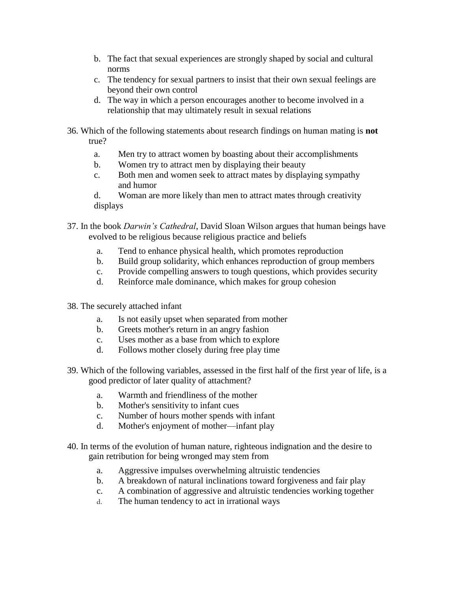- b. The fact that sexual experiences are strongly shaped by social and cultural norms
- c. The tendency for sexual partners to insist that their own sexual feelings are beyond their own control
- d. The way in which a person encourages another to become involved in a relationship that may ultimately result in sexual relations
- 36. Which of the following statements about research findings on human mating is **not**  true?
	- a. Men try to attract women by boasting about their accomplishments
	- b. Women try to attract men by displaying their beauty
	- c. Both men and women seek to attract mates by displaying sympathy and humor

d. Woman are more likely than men to attract mates through creativity displays

- 37. In the book *Darwin's Cathedral*, David Sloan Wilson argues that human beings have evolved to be religious because religious practice and beliefs
	- a. Tend to enhance physical health, which promotes reproduction
	- b. Build group solidarity, which enhances reproduction of group members
	- c. Provide compelling answers to tough questions, which provides security
	- d. Reinforce male dominance, which makes for group cohesion
- 38. The securely attached infant
	- a. Is not easily upset when separated from mother
	- b. Greets mother's return in an angry fashion
	- c. Uses mother as a base from which to explore
	- d. Follows mother closely during free play time
- 39. Which of the following variables, assessed in the first half of the first year of life, is a good predictor of later quality of attachment?
	- a. Warmth and friendliness of the mother
	- b. Mother's sensitivity to infant cues
	- c. Number of hours mother spends with infant
	- d. Mother's enjoyment of mother—infant play
- 40. In terms of the evolution of human nature, righteous indignation and the desire to gain retribution for being wronged may stem from
	- a. Aggressive impulses overwhelming altruistic tendencies
	- b. A breakdown of natural inclinations toward forgiveness and fair play
	- c. A combination of aggressive and altruistic tendencies working together
	- d. The human tendency to act in irrational ways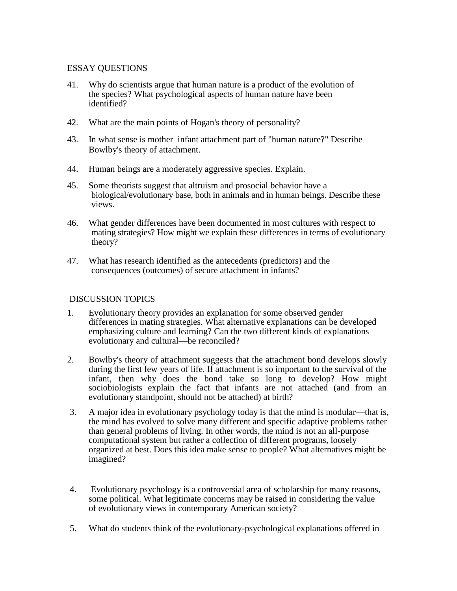#### ESSAY QUESTIONS

- 41. Why do scientists argue that human nature is a product of the evolution of the species? What psychological aspects of human nature have been identified?
- 42. What are the main points of Hogan's theory of personality?
- 43. In what sense is mother–infant attachment part of "human nature?" Describe Bowlby's theory of attachment.
- 44. Human beings are a moderately aggressive species. Explain.
- 45. Some theorists suggest that altruism and prosocial behavior have a biological/evolutionary base, both in animals and in human beings. Describe these views.
- 46. What gender differences have been documented in most cultures with respect to mating strategies? How might we explain these differences in terms of evolutionary theory?
- 47. What has research identified as the antecedents (predictors) and the consequences (outcomes) of secure attachment in infants?

#### DISCUSSION TOPICS

- 1. Evolutionary theory provides an explanation for some observed gender differences in mating strategies. What alternative explanations can be developed emphasizing culture and learning? Can the two different kinds of explanations evolutionary and cultural—be reconciled?
- 2. Bowlby's theory of attachment suggests that the attachment bond develops slowly during the first few years of life. If attachment is so important to the survival of the infant, then why does the bond take so long to develop? How might sociobiologists explain the fact that infants are not attached (and from an evolutionary standpoint, should not be attached) at birth?
- 3. A major idea in evolutionary psychology today is that the mind is modular—that is, the mind has evolved to solve many different and specific adaptive problems rather than general problems of living. In other words, the mind is not an all-purpose computational system but rather a collection of different programs, loosely organized at best. Does this idea make sense to people? What alternatives might be imagined?
- 4. Evolutionary psychology is a controversial area of scholarship for many reasons, some political. What legitimate concerns may be raised in considering the value of evolutionary views in contemporary American society?
- 5. What do students think of the evolutionary-psychological explanations offered in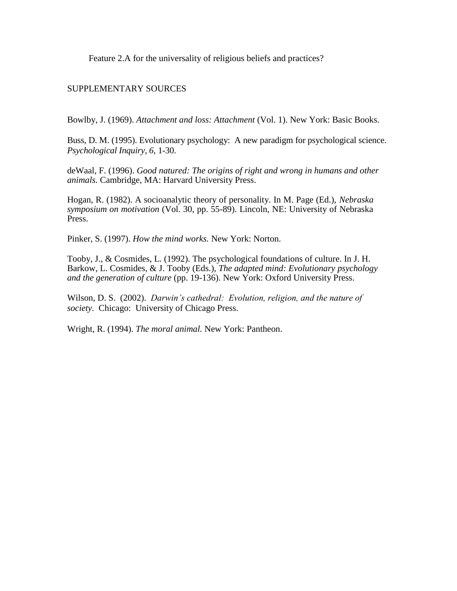Feature 2.A for the universality of religious beliefs and practices?

### SUPPLEMENTARY SOURCES

Bowlby, J. (1969). *Attachment and loss: Attachment* (Vol. 1). New York: Basic Books.

Buss, D. M. (1995). Evolutionary psychology: A new paradigm for psychological science. *Psychological Inquiry, 6,* 1-30.

deWaal, F. (1996). *Good natured: The origins of right and wrong in humans and other animals.* Cambridge, MA: Harvard University Press.

Hogan, R. (1982). A socioanalytic theory of personality. In M. Page (Ed.), *Nebraska symposium on motivation* (Vol. 30, pp. 55-89). Lincoln, NE: University of Nebraska Press.

Pinker, S. (1997). *How the mind works.* New York: Norton.

Tooby, J., & Cosmides, L. (1992). The psychological foundations of culture. In J. H. Barkow, L. Cosmides, & J. Tooby (Eds.), *The adapted mind: Evolutionary psychology and the generation of culture* (pp. 19-136). New York: Oxford University Press.

Wilson, D. S. (2002). *Darwin's cathedral: Evolution, religion, and the nature of society.* Chicago: University of Chicago Press.

Wright, R. (1994). *The moral animal.* New York: Pantheon.